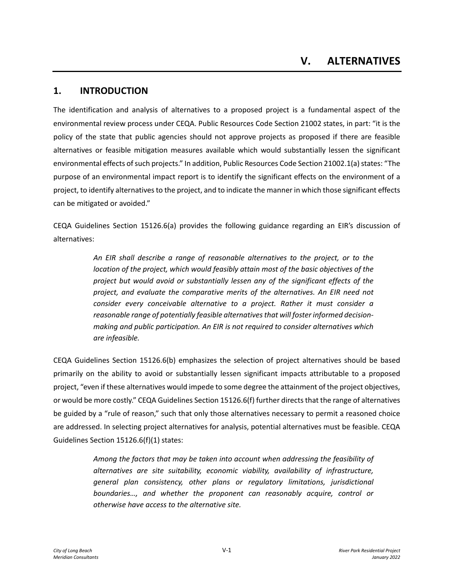### **1. INTRODUCTION**

The identification and analysis of alternatives to a proposed project is a fundamental aspect of the environmental review process under CEQA. Public Resources Code Section 21002 states, in part: "it is the policy of the state that public agencies should not approve projects as proposed if there are feasible alternatives or feasible mitigation measures available which would substantially lessen the significant environmental effects of such projects." In addition, Public Resources Code Section 21002.1(a) states: "The purpose of an environmental impact report is to identify the significant effects on the environment of a project, to identify alternatives to the project, and to indicate the manner in which those significant effects can be mitigated or avoided."

CEQA Guidelines Section 15126.6(a) provides the following guidance regarding an EIR's discussion of alternatives:

> *An EIR shall describe a range of reasonable alternatives to the project, or to the location of the project, which would feasibly attain most of the basic objectives of the project but would avoid or substantially lessen any of the significant effects of the project, and evaluate the comparative merits of the alternatives. An EIR need not consider every conceivable alternative to a project. Rather it must consider a reasonable range of potentially feasible alternatives that will foster informed decisionmaking and public participation. An EIR is not required to consider alternatives which are infeasible.*

CEQA Guidelines Section 15126.6(b) emphasizes the selection of project alternatives should be based primarily on the ability to avoid or substantially lessen significant impacts attributable to a proposed project, "even if these alternatives would impede to some degree the attainment of the project objectives, or would be more costly." CEQA Guidelines Section 15126.6(f) further directs that the range of alternatives be guided by a "rule of reason," such that only those alternatives necessary to permit a reasoned choice are addressed. In selecting project alternatives for analysis, potential alternatives must be feasible. CEQA Guidelines Section 15126.6(f)(1) states:

> *Among the factors that may be taken into account when addressing the feasibility of alternatives are site suitability, economic viability, availability of infrastructure, general plan consistency, other plans or regulatory limitations, jurisdictional boundaries…, and whether the proponent can reasonably acquire, control or otherwise have access to the alternative site.*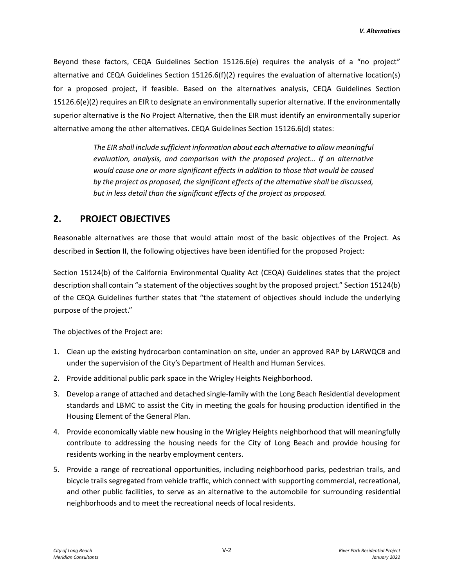Beyond these factors, CEQA Guidelines Section 15126.6(e) requires the analysis of a "no project" alternative and CEQA Guidelines Section 15126.6(f)(2) requires the evaluation of alternative location(s) for a proposed project, if feasible. Based on the alternatives analysis, CEQA Guidelines Section 15126.6(e)(2) requires an EIR to designate an environmentally superior alternative. If the environmentally superior alternative is the No Project Alternative, then the EIR must identify an environmentally superior alternative among the other alternatives. CEQA Guidelines Section 15126.6(d) states:

> *The EIR shall include sufficient information about each alternative to allow meaningful evaluation, analysis, and comparison with the proposed project… If an alternative would cause one or more significant effects in addition to those that would be caused by the project as proposed, the significant effects of the alternative shall be discussed, but in less detail than the significant effects of the project as proposed.*

### **2. PROJECT OBJECTIVES**

Reasonable alternatives are those that would attain most of the basic objectives of the Project. As described in **Section II**, the following objectives have been identified for the proposed Project:

Section 15124(b) of the California Environmental Quality Act (CEQA) Guidelines states that the project description shall contain "a statement of the objectives sought by the proposed project." Section 15124(b) of the CEQA Guidelines further states that "the statement of objectives should include the underlying purpose of the project."

The objectives of the Project are:

- 1. Clean up the existing hydrocarbon contamination on site, under an approved RAP by LARWQCB and under the supervision of the City's Department of Health and Human Services.
- 2. Provide additional public park space in the Wrigley Heights Neighborhood.
- 3. Develop a range of attached and detached single-family with the Long Beach Residential development standards and LBMC to assist the City in meeting the goals for housing production identified in the Housing Element of the General Plan.
- 4. Provide economically viable new housing in the Wrigley Heights neighborhood that will meaningfully contribute to addressing the housing needs for the City of Long Beach and provide housing for residents working in the nearby employment centers.
- 5. Provide a range of recreational opportunities, including neighborhood parks, pedestrian trails, and bicycle trails segregated from vehicle traffic, which connect with supporting commercial, recreational, and other public facilities, to serve as an alternative to the automobile for surrounding residential neighborhoods and to meet the recreational needs of local residents.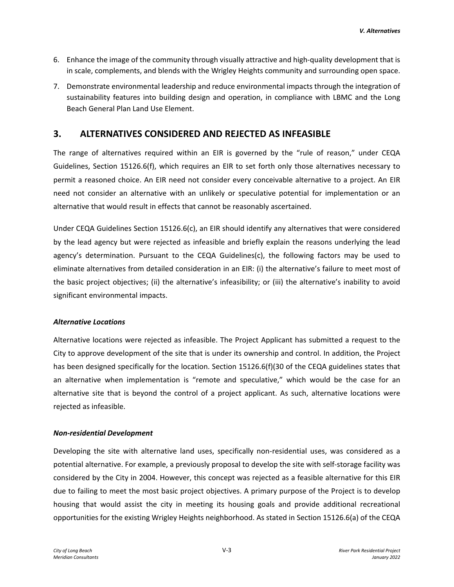- 6. Enhance the image of the community through visually attractive and high-quality development that is in scale, complements, and blends with the Wrigley Heights community and surrounding open space.
- 7. Demonstrate environmental leadership and reduce environmental impacts through the integration of sustainability features into building design and operation, in compliance with LBMC and the Long Beach General Plan Land Use Element.

### **3. ALTERNATIVES CONSIDERED AND REJECTED AS INFEASIBLE**

The range of alternatives required within an EIR is governed by the "rule of reason," under CEQA Guidelines, Section 15126.6(f), which requires an EIR to set forth only those alternatives necessary to permit a reasoned choice. An EIR need not consider every conceivable alternative to a project. An EIR need not consider an alternative with an unlikely or speculative potential for implementation or an alternative that would result in effects that cannot be reasonably ascertained.

Under CEQA Guidelines Section 15126.6(c), an EIR should identify any alternatives that were considered by the lead agency but were rejected as infeasible and briefly explain the reasons underlying the lead agency's determination. Pursuant to the CEQA Guidelines(c), the following factors may be used to eliminate alternatives from detailed consideration in an EIR: (i) the alternative's failure to meet most of the basic project objectives; (ii) the alternative's infeasibility; or (iii) the alternative's inability to avoid significant environmental impacts.

#### *Alternative Locations*

Alternative locations were rejected as infeasible. The Project Applicant has submitted a request to the City to approve development of the site that is under its ownership and control. In addition, the Project has been designed specifically for the location. Section 15126.6(f)(30 of the CEQA guidelines states that an alternative when implementation is "remote and speculative," which would be the case for an alternative site that is beyond the control of a project applicant. As such, alternative locations were rejected as infeasible.

#### *Non-residential Development*

Developing the site with alternative land uses, specifically non-residential uses, was considered as a potential alternative. For example, a previously proposal to develop the site with self-storage facility was considered by the City in 2004. However, this concept was rejected as a feasible alternative for this EIR due to failing to meet the most basic project objectives. A primary purpose of the Project is to develop housing that would assist the city in meeting its housing goals and provide additional recreational opportunities for the existing Wrigley Heights neighborhood. As stated in Section 15126.6(a) of the CEQA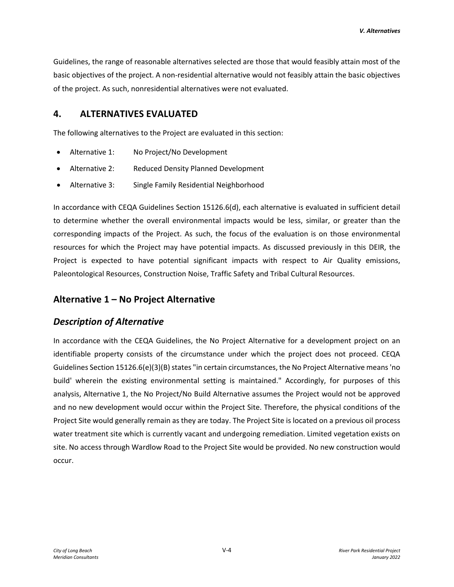Guidelines, the range of reasonable alternatives selected are those that would feasibly attain most of the basic objectives of the project. A non-residential alternative would not feasibly attain the basic objectives of the project. As such, nonresidential alternatives were not evaluated.

### **4. ALTERNATIVES EVALUATED**

The following alternatives to the Project are evaluated in this section:

- Alternative 1: No Project/No Development
- Alternative 2: Reduced Density Planned Development
- Alternative 3: Single Family Residential Neighborhood

In accordance with CEQA Guidelines Section 15126.6(d), each alternative is evaluated in sufficient detail to determine whether the overall environmental impacts would be less, similar, or greater than the corresponding impacts of the Project. As such, the focus of the evaluation is on those environmental resources for which the Project may have potential impacts. As discussed previously in this DEIR, the Project is expected to have potential significant impacts with respect to Air Quality emissions, Paleontological Resources, Construction Noise, Traffic Safety and Tribal Cultural Resources.

# **Alternative 1 – No Project Alternative**

# *Description of Alternative*

In accordance with the CEQA Guidelines, the No Project Alternative for a development project on an identifiable property consists of the circumstance under which the project does not proceed. CEQA Guidelines Section 15126.6(e)(3)(B) states "in certain circumstances, the No Project Alternative means 'no build' wherein the existing environmental setting is maintained." Accordingly, for purposes of this analysis, Alternative 1, the No Project/No Build Alternative assumes the Project would not be approved and no new development would occur within the Project Site. Therefore, the physical conditions of the Project Site would generally remain as they are today. The Project Site is located on a previous oil process water treatment site which is currently vacant and undergoing remediation. Limited vegetation exists on site. No access through Wardlow Road to the Project Site would be provided. No new construction would occur.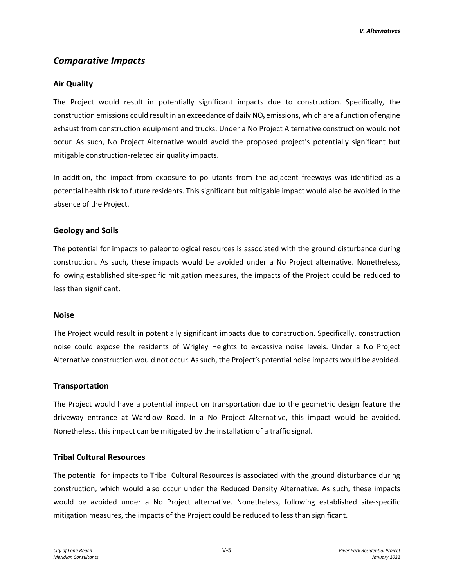# *Comparative Impacts*

### **Air Quality**

The Project would result in potentially significant impacts due to construction. Specifically, the construction emissions could result in an exceedance of daily  $NO<sub>x</sub>$  emissions, which are a function of engine exhaust from construction equipment and trucks. Under a No Project Alternative construction would not occur. As such, No Project Alternative would avoid the proposed project's potentially significant but mitigable construction-related air quality impacts.

In addition, the impact from exposure to pollutants from the adjacent freeways was identified as a potential health risk to future residents. This significant but mitigable impact would also be avoided in the absence of the Project.

### **Geology and Soils**

The potential for impacts to paleontological resources is associated with the ground disturbance during construction. As such, these impacts would be avoided under a No Project alternative. Nonetheless, following established site-specific mitigation measures, the impacts of the Project could be reduced to less than significant.

#### **Noise**

The Project would result in potentially significant impacts due to construction. Specifically, construction noise could expose the residents of Wrigley Heights to excessive noise levels. Under a No Project Alternative construction would not occur. As such, the Project's potential noise impacts would be avoided.

#### **Transportation**

The Project would have a potential impact on transportation due to the geometric design feature the driveway entrance at Wardlow Road. In a No Project Alternative, this impact would be avoided. Nonetheless, this impact can be mitigated by the installation of a traffic signal.

### **Tribal Cultural Resources**

The potential for impacts to Tribal Cultural Resources is associated with the ground disturbance during construction, which would also occur under the Reduced Density Alternative. As such, these impacts would be avoided under a No Project alternative. Nonetheless, following established site-specific mitigation measures, the impacts of the Project could be reduced to less than significant.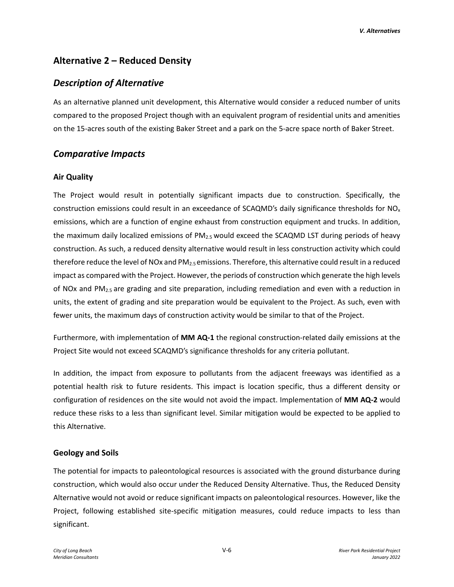*V. Alternatives*

# **Alternative 2 – Reduced Density**

# *Description of Alternative*

As an alternative planned unit development, this Alternative would consider a reduced number of units compared to the proposed Project though with an equivalent program of residential units and amenities on the 15-acres south of the existing Baker Street and a park on the 5-acre space north of Baker Street.

# *Comparative Impacts*

### **Air Quality**

The Project would result in potentially significant impacts due to construction. Specifically, the construction emissions could result in an exceedance of SCAQMD's daily significance thresholds for  $NO<sub>x</sub>$ emissions, which are a function of engine exhaust from construction equipment and trucks. In addition, the maximum daily localized emissions of  $PM<sub>2.5</sub>$  would exceed the SCAQMD LST during periods of heavy construction. As such, a reduced density alternative would result in less construction activity which could therefore reduce the level of NOx and  $PM_{2.5}$  emissions. Therefore, this alternative could result in a reduced impact as compared with the Project. However, the periods of construction which generate the high levels of NOx and PM2.5 are grading and site preparation, including remediation and even with a reduction in units, the extent of grading and site preparation would be equivalent to the Project. As such, even with fewer units, the maximum days of construction activity would be similar to that of the Project.

Furthermore, with implementation of **MM AQ-1** the regional construction-related daily emissions at the Project Site would not exceed SCAQMD's significance thresholds for any criteria pollutant.

In addition, the impact from exposure to pollutants from the adjacent freeways was identified as a potential health risk to future residents. This impact is location specific, thus a different density or configuration of residences on the site would not avoid the impact. Implementation of **MM AQ-2** would reduce these risks to a less than significant level. Similar mitigation would be expected to be applied to this Alternative.

### **Geology and Soils**

The potential for impacts to paleontological resources is associated with the ground disturbance during construction, which would also occur under the Reduced Density Alternative. Thus, the Reduced Density Alternative would not avoid or reduce significant impacts on paleontological resources. However, like the Project, following established site-specific mitigation measures, could reduce impacts to less than significant.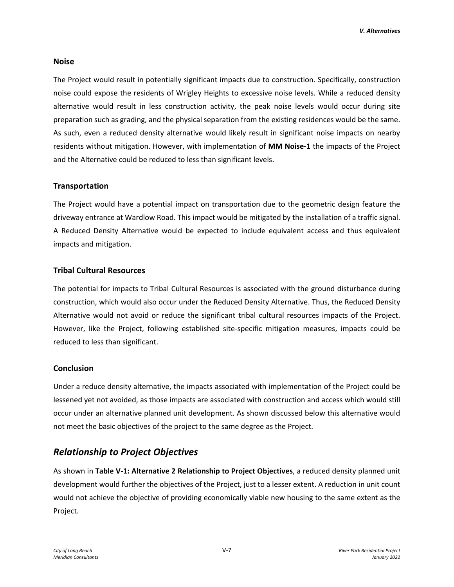#### **Noise**

The Project would result in potentially significant impacts due to construction. Specifically, construction noise could expose the residents of Wrigley Heights to excessive noise levels. While a reduced density alternative would result in less construction activity, the peak noise levels would occur during site preparation such as grading, and the physical separation from the existing residences would be the same. As such, even a reduced density alternative would likely result in significant noise impacts on nearby residents without mitigation. However, with implementation of **MM Noise-1** the impacts of the Project and the Alternative could be reduced to less than significant levels.

#### **Transportation**

The Project would have a potential impact on transportation due to the geometric design feature the driveway entrance at Wardlow Road. This impact would be mitigated by the installation of a traffic signal. A Reduced Density Alternative would be expected to include equivalent access and thus equivalent impacts and mitigation.

#### **Tribal Cultural Resources**

The potential for impacts to Tribal Cultural Resources is associated with the ground disturbance during construction, which would also occur under the Reduced Density Alternative. Thus, the Reduced Density Alternative would not avoid or reduce the significant tribal cultural resources impacts of the Project. However, like the Project, following established site-specific mitigation measures, impacts could be reduced to less than significant.

#### **Conclusion**

Under a reduce density alternative, the impacts associated with implementation of the Project could be lessened yet not avoided, as those impacts are associated with construction and access which would still occur under an alternative planned unit development. As shown discussed below this alternative would not meet the basic objectives of the project to the same degree as the Project.

### *Relationship to Project Objectives*

As shown in **Table V-1: Alternative 2 Relationship to Project Objectives**, a reduced density planned unit development would further the objectives of the Project, just to a lesser extent. A reduction in unit count would not achieve the objective of providing economically viable new housing to the same extent as the Project.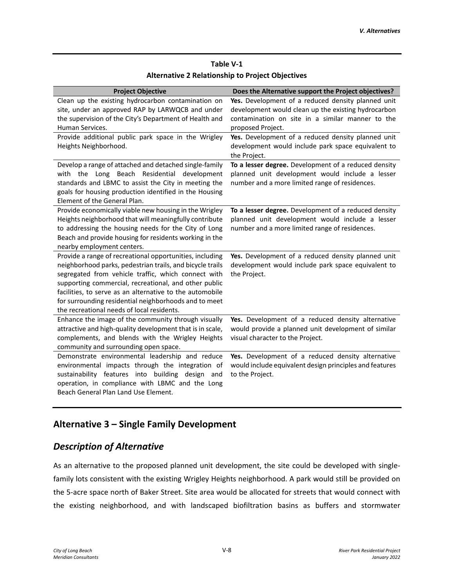# **Table V-1 Alternative 2 Relationship to Project Objectives**

| <b>Project Objective</b>                                  | Does the Alternative support the Project objectives?    |
|-----------------------------------------------------------|---------------------------------------------------------|
| Clean up the existing hydrocarbon contamination on        | Yes. Development of a reduced density planned unit      |
| site, under an approved RAP by LARWQCB and under          | development would clean up the existing hydrocarbon     |
| the supervision of the City's Department of Health and    | contamination on site in a similar manner to the        |
| Human Services.                                           | proposed Project.                                       |
| Provide additional public park space in the Wrigley       | Yes. Development of a reduced density planned unit      |
| Heights Neighborhood.                                     | development would include park space equivalent to      |
|                                                           | the Project.                                            |
| Develop a range of attached and detached single-family    | To a lesser degree. Development of a reduced density    |
| with the Long Beach Residential development               | planned unit development would include a lesser         |
| standards and LBMC to assist the City in meeting the      | number and a more limited range of residences.          |
| goals for housing production identified in the Housing    |                                                         |
| Element of the General Plan.                              |                                                         |
| Provide economically viable new housing in the Wrigley    | To a lesser degree. Development of a reduced density    |
| Heights neighborhood that will meaningfully contribute    | planned unit development would include a lesser         |
| to addressing the housing needs for the City of Long      | number and a more limited range of residences.          |
| Beach and provide housing for residents working in the    |                                                         |
| nearby employment centers.                                |                                                         |
| Provide a range of recreational opportunities, including  | Yes. Development of a reduced density planned unit      |
| neighborhood parks, pedestrian trails, and bicycle trails | development would include park space equivalent to      |
| segregated from vehicle traffic, which connect with       | the Project.                                            |
| supporting commercial, recreational, and other public     |                                                         |
| facilities, to serve as an alternative to the automobile  |                                                         |
| for surrounding residential neighborhoods and to meet     |                                                         |
| the recreational needs of local residents.                |                                                         |
| Enhance the image of the community through visually       | Yes. Development of a reduced density alternative       |
| attractive and high-quality development that is in scale, | would provide a planned unit development of similar     |
| complements, and blends with the Wrigley Heights          | visual character to the Project.                        |
| community and surrounding open space.                     |                                                         |
| Demonstrate environmental leadership and reduce           | Yes. Development of a reduced density alternative       |
| environmental impacts through the integration of          | would include equivalent design principles and features |
| sustainability features into building design and          | to the Project.                                         |
| operation, in compliance with LBMC and the Long           |                                                         |
| Beach General Plan Land Use Element.                      |                                                         |

# **Alternative 3 – Single Family Development**

# *Description of Alternative*

As an alternative to the proposed planned unit development, the site could be developed with singlefamily lots consistent with the existing Wrigley Heights neighborhood. A park would still be provided on the 5-acre space north of Baker Street. Site area would be allocated for streets that would connect with the existing neighborhood, and with landscaped biofiltration basins as buffers and stormwater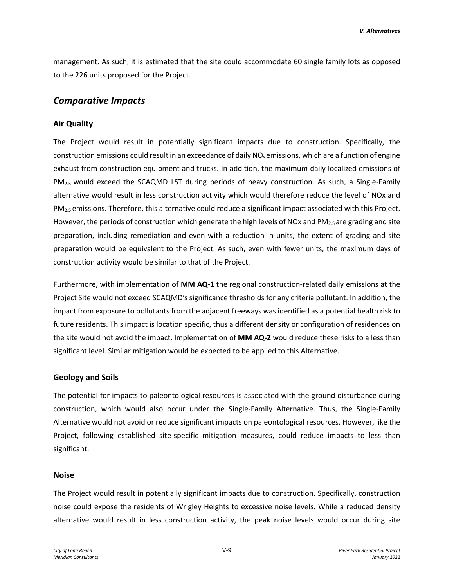management. As such, it is estimated that the site could accommodate 60 single family lots as opposed to the 226 units proposed for the Project.

### *Comparative Impacts*

### **Air Quality**

The Project would result in potentially significant impacts due to construction. Specifically, the construction emissions could result in an exceedance of daily  $NO<sub>x</sub>$  emissions, which are a function of engine exhaust from construction equipment and trucks. In addition, the maximum daily localized emissions of PM<sub>2.5</sub> would exceed the SCAQMD LST during periods of heavy construction. As such, a Single-Family alternative would result in less construction activity which would therefore reduce the level of NOx and PM<sub>2.5</sub> emissions. Therefore, this alternative could reduce a significant impact associated with this Project. However, the periods of construction which generate the high levels of NOx and  $PM_{2.5}$  are grading and site preparation, including remediation and even with a reduction in units, the extent of grading and site preparation would be equivalent to the Project. As such, even with fewer units, the maximum days of construction activity would be similar to that of the Project.

Furthermore, with implementation of **MM AQ-1** the regional construction-related daily emissions at the Project Site would not exceed SCAQMD's significance thresholds for any criteria pollutant. In addition, the impact from exposure to pollutants from the adjacent freeways was identified as a potential health risk to future residents. This impact is location specific, thus a different density or configuration of residences on the site would not avoid the impact. Implementation of **MM AQ-2** would reduce these risks to a less than significant level. Similar mitigation would be expected to be applied to this Alternative.

#### **Geology and Soils**

The potential for impacts to paleontological resources is associated with the ground disturbance during construction, which would also occur under the Single-Family Alternative. Thus, the Single-Family Alternative would not avoid or reduce significant impacts on paleontological resources. However, like the Project, following established site-specific mitigation measures, could reduce impacts to less than significant.

#### **Noise**

The Project would result in potentially significant impacts due to construction. Specifically, construction noise could expose the residents of Wrigley Heights to excessive noise levels. While a reduced density alternative would result in less construction activity, the peak noise levels would occur during site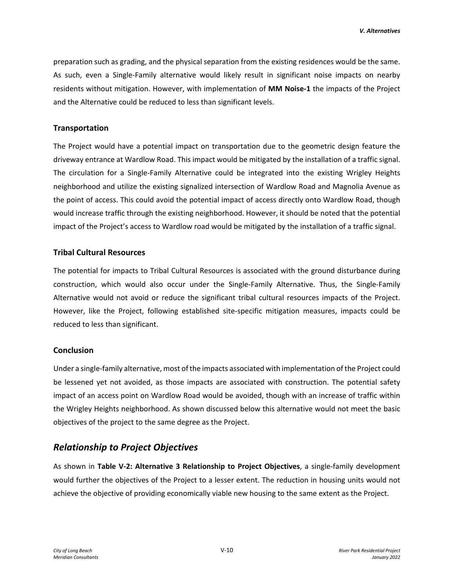preparation such as grading, and the physical separation from the existing residences would be the same. As such, even a Single-Family alternative would likely result in significant noise impacts on nearby residents without mitigation. However, with implementation of **MM Noise-1** the impacts of the Project and the Alternative could be reduced to less than significant levels.

### **Transportation**

The Project would have a potential impact on transportation due to the geometric design feature the driveway entrance at Wardlow Road. This impact would be mitigated by the installation of a traffic signal. The circulation for a Single-Family Alternative could be integrated into the existing Wrigley Heights neighborhood and utilize the existing signalized intersection of Wardlow Road and Magnolia Avenue as the point of access. This could avoid the potential impact of access directly onto Wardlow Road, though would increase traffic through the existing neighborhood. However, it should be noted that the potential impact of the Project's access to Wardlow road would be mitigated by the installation of a traffic signal.

### **Tribal Cultural Resources**

The potential for impacts to Tribal Cultural Resources is associated with the ground disturbance during construction, which would also occur under the Single-Family Alternative. Thus, the Single-Family Alternative would not avoid or reduce the significant tribal cultural resources impacts of the Project. However, like the Project, following established site-specific mitigation measures, impacts could be reduced to less than significant.

#### **Conclusion**

Under a single-family alternative, most of the impacts associated with implementation of the Project could be lessened yet not avoided, as those impacts are associated with construction. The potential safety impact of an access point on Wardlow Road would be avoided, though with an increase of traffic within the Wrigley Heights neighborhood. As shown discussed below this alternative would not meet the basic objectives of the project to the same degree as the Project.

# *Relationship to Project Objectives*

As shown in **Table V-2: Alternative 3 Relationship to Project Objectives**, a single-family development would further the objectives of the Project to a lesser extent. The reduction in housing units would not achieve the objective of providing economically viable new housing to the same extent as the Project.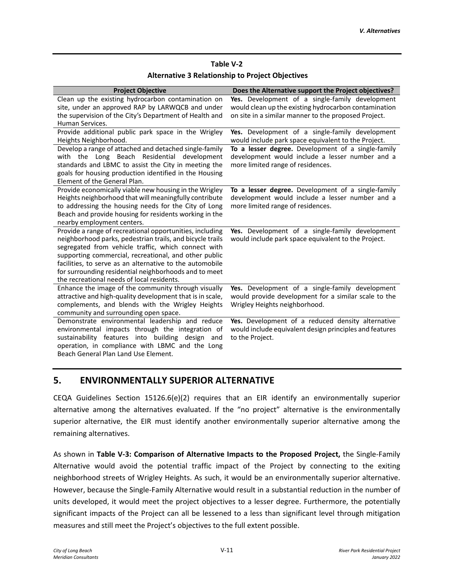#### **Table V-2**

#### **Alternative 3 Relationship to Project Objectives**

| <b>Project Objective</b>                                                                                                                                                                                                                                                                                                                     | Does the Alternative support the Project objectives?                                                                                       |
|----------------------------------------------------------------------------------------------------------------------------------------------------------------------------------------------------------------------------------------------------------------------------------------------------------------------------------------------|--------------------------------------------------------------------------------------------------------------------------------------------|
| Clean up the existing hydrocarbon contamination on                                                                                                                                                                                                                                                                                           | Yes. Development of a single-family development                                                                                            |
| site, under an approved RAP by LARWQCB and under                                                                                                                                                                                                                                                                                             | would clean up the existing hydrocarbon contamination                                                                                      |
| the supervision of the City's Department of Health and                                                                                                                                                                                                                                                                                       | on site in a similar manner to the proposed Project.                                                                                       |
| Human Services.                                                                                                                                                                                                                                                                                                                              |                                                                                                                                            |
| Provide additional public park space in the Wrigley<br>Heights Neighborhood.                                                                                                                                                                                                                                                                 | Yes. Development of a single-family development<br>would include park space equivalent to the Project.                                     |
| Develop a range of attached and detached single-family<br>with the Long Beach Residential<br>development<br>standards and LBMC to assist the City in meeting the<br>goals for housing production identified in the Housing<br>Element of the General Plan.                                                                                   | To a lesser degree. Development of a single-family<br>development would include a lesser number and a<br>more limited range of residences. |
| Provide economically viable new housing in the Wrigley<br>Heights neighborhood that will meaningfully contribute<br>to addressing the housing needs for the City of Long<br>Beach and provide housing for residents working in the<br>nearby employment centers.                                                                             | To a lesser degree. Development of a single-family<br>development would include a lesser number and a<br>more limited range of residences. |
| Provide a range of recreational opportunities, including                                                                                                                                                                                                                                                                                     | Yes. Development of a single-family development                                                                                            |
| neighborhood parks, pedestrian trails, and bicycle trails<br>segregated from vehicle traffic, which connect with<br>supporting commercial, recreational, and other public<br>facilities, to serve as an alternative to the automobile<br>for surrounding residential neighborhoods and to meet<br>the recreational needs of local residents. | would include park space equivalent to the Project.                                                                                        |
| Enhance the image of the community through visually<br>attractive and high-quality development that is in scale,<br>complements, and blends with the Wrigley Heights<br>community and surrounding open space.                                                                                                                                | Yes. Development of a single-family development<br>would provide development for a similar scale to the<br>Wrigley Heights neighborhood.   |
| Demonstrate environmental leadership and reduce<br>environmental impacts through the integration of<br>sustainability features into building design and<br>operation, in compliance with LBMC and the Long<br>Beach General Plan Land Use Element.                                                                                           | Yes. Development of a reduced density alternative<br>would include equivalent design principles and features<br>to the Project.            |

# **5. ENVIRONMENTALLY SUPERIOR ALTERNATIVE**

CEQA Guidelines Section 15126.6(e)(2) requires that an EIR identify an environmentally superior alternative among the alternatives evaluated. If the "no project" alternative is the environmentally superior alternative, the EIR must identify another environmentally superior alternative among the remaining alternatives.

As shown in **Table V-3: Comparison of Alternative Impacts to the Proposed Project,** the Single-Family Alternative would avoid the potential traffic impact of the Project by connecting to the exiting neighborhood streets of Wrigley Heights. As such, it would be an environmentally superior alternative. However, because the Single-Family Alternative would result in a substantial reduction in the number of units developed, it would meet the project objectives to a lesser degree. Furthermore, the potentially significant impacts of the Project can all be lessened to a less than significant level through mitigation measures and still meet the Project's objectives to the full extent possible.